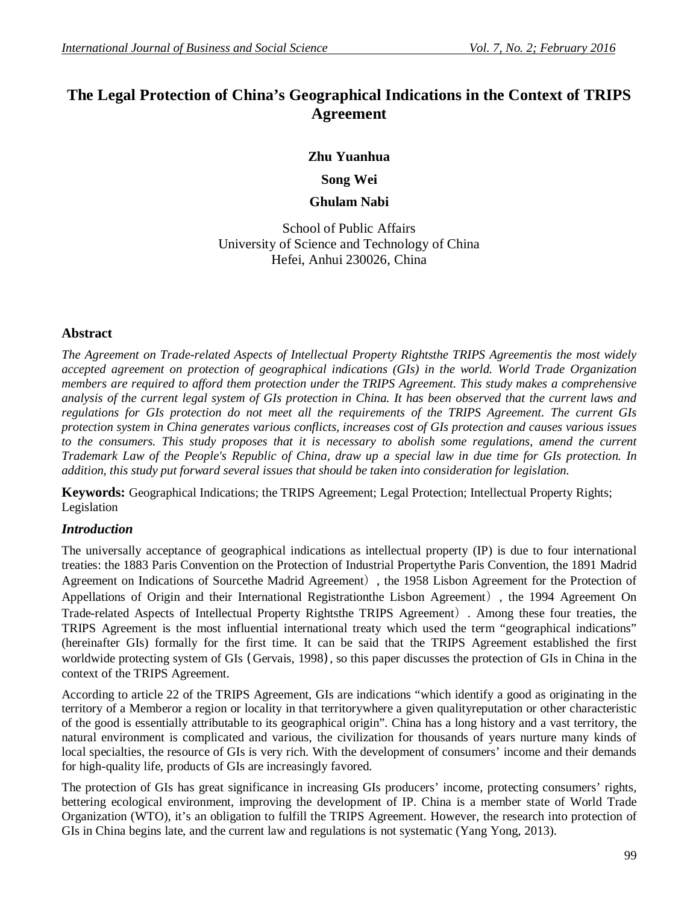# **The Legal Protection of China's Geographical Indications in the Context of TRIPS Agreement**

# **Zhu Yuanhua**

**Song Wei**

**Ghulam Nabi**

School of Public Affairs University of Science and Technology of China Hefei, Anhui 230026, China

# **Abstract**

*The Agreement on Trade-related Aspects of Intellectual Property Rightsthe TRIPS Agreementis the most widely accepted agreement on protection of geographical indications (GIs) in the world. World Trade Organization members are required to afford them protection under the TRIPS Agreement. This study makes a comprehensive analysis of the current legal system of GIs protection in China. It has been observed that the current laws and regulations for GIs protection do not meet all the requirements of the TRIPS Agreement. The current GIs protection system in China generates various conflicts, increases cost of GIs protection and causes various issues to the consumers. This study proposes that it is necessary to abolish some regulations, amend the current Trademark Law of the People's Republic of China, draw up a special law in due time for GIs protection. In addition, this study put forward several issues that should be taken into consideration for legislation.*

**Keywords:** Geographical Indications; the TRIPS Agreement; Legal Protection; Intellectual Property Rights; Legislation

# *Introduction*

The universally acceptance of geographical indications as intellectual property (IP) is due to four international treaties: the 1883 Paris Convention on the Protection of Industrial Propertythe Paris Convention, the 1891 Madrid Agreement on Indications of Sourcethe Madrid Agreement), the 1958 Lisbon Agreement for the Protection of Appellations of Origin and their International Registrationthe Lisbon Agreement), the 1994 Agreement On Trade-related Aspects of Intellectual Property Rightsthe TRIPS Agreement). Among these four treaties, the TRIPS Agreement is the most influential international treaty which used the term "geographical indications" (hereinafter GIs) formally for the first time. It can be said that the TRIPS Agreement established the first worldwide protecting system of GIs (Gervais, 1998), so this paper discusses the protection of GIs in China in the context of the TRIPS Agreement.

According to article 22 of the TRIPS Agreement, GIs are indications "which identify a good as originating in the territory of a Memberor a region or locality in that territorywhere a given qualityreputation or other characteristic of the good is essentially attributable to its geographical origin". China has a long history and a vast territory, the natural environment is complicated and various, the civilization for thousands of years nurture many kinds of local specialties, the resource of GIs is very rich. With the development of consumers' income and their demands for high-quality life, products of GIs are increasingly favored.

The protection of GIs has great significance in increasing GIs producers' income, protecting consumers' rights, bettering ecological environment, improving the development of IP. China is a member state of World Trade Organization (WTO), it's an obligation to fulfill the TRIPS Agreement. However, the research into protection of GIs in China begins late, and the current law and regulations is not systematic (Yang Yong, 2013).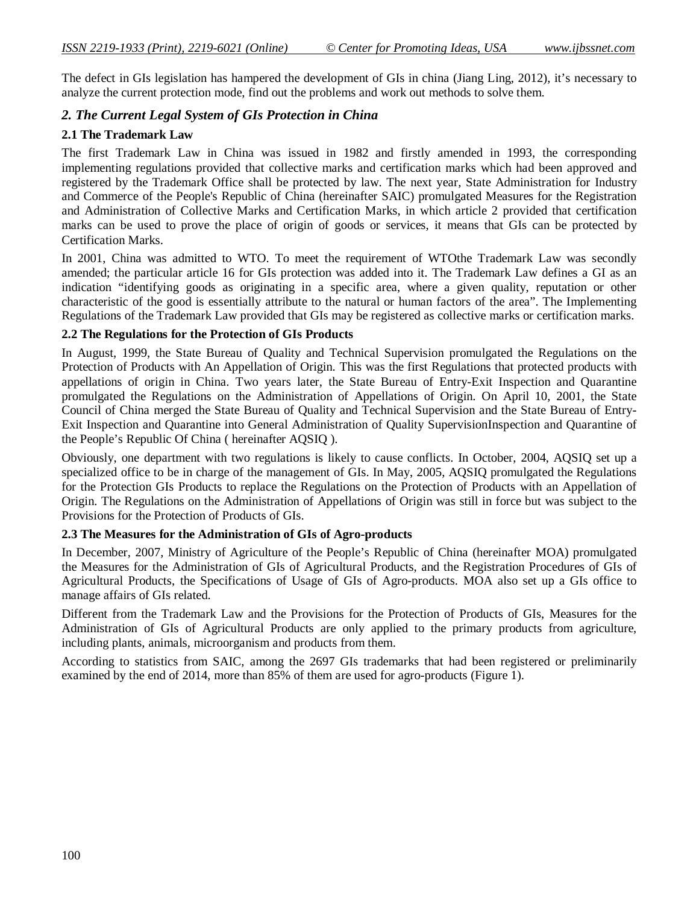The defect in GIs legislation has hampered the development of GIs in china (Jiang Ling, 2012), it's necessary to analyze the current protection mode, find out the problems and work out methods to solve them.

# *2. The Current Legal System of GIs Protection in China*

### **2.1 The Trademark Law**

The first Trademark Law in China was issued in 1982 and firstly amended in 1993, the corresponding implementing regulations provided that collective marks and certification marks which had been approved and registered by the Trademark Office shall be protected by law. The next year, State Administration for Industry and Commerce of the People's Republic of China (hereinafter SAIC) promulgated Measures for the Registration and Administration of Collective Marks and Certification Marks, in which article 2 provided that certification marks can be used to prove the place of origin of goods or services, it means that GIs can be protected by Certification Marks.

In 2001, China was admitted to WTO. To meet the requirement of WTOthe Trademark Law was secondly amended; the particular article 16 for GIs protection was added into it. The Trademark Law defines a GI as an indication "identifying goods as originating in a specific area, where a given quality, reputation or other characteristic of the good is essentially attribute to the natural or human factors of the area". The Implementing Regulations of the Trademark Law provided that GIs may be registered as collective marks or certification marks.

#### **2.2 The Regulations for the Protection of GIs Products**

In August, 1999, the State Bureau of Quality and Technical Supervision promulgated the Regulations on the Protection of Products with An Appellation of Origin. This was the first Regulations that protected products with appellations of origin in China. Two years later, the State Bureau of Entry-Exit Inspection and Quarantine promulgated the Regulations on the Administration of Appellations of Origin. On April 10, 2001, the State Council of China merged the State Bureau of Quality and Technical Supervision and the State Bureau of Entry-Exit Inspection and Quarantine into General Administration of Quality SupervisionInspection and Quarantine of the People's Republic Of China ( hereinafter AQSIQ ).

Obviously, one department with two regulations is likely to cause conflicts. In October, 2004, AQSIQ set up a specialized office to be in charge of the management of GIs. In May, 2005, AQSIQ promulgated the Regulations for the Protection GIs Products to replace the Regulations on the Protection of Products with an Appellation of Origin. The Regulations on the Administration of Appellations of Origin was still in force but was subject to the Provisions for the Protection of Products of GIs.

#### **2.3 The Measures for the Administration of GIs of Agro-products**

In December, 2007, Ministry of Agriculture of the People's Republic of China (hereinafter MOA) promulgated the Measures for the Administration of GIs of Agricultural Products, and the Registration Procedures of GIs of Agricultural Products, the Specifications of Usage of GIs of Agro-products. MOA also set up a GIs office to manage affairs of GIs related.

Different from the Trademark Law and the Provisions for the Protection of Products of GIs, Measures for the Administration of GIs of Agricultural Products are only applied to the primary products from agriculture, including plants, animals, microorganism and products from them.

According to statistics from SAIC, among the 2697 GIs trademarks that had been registered or preliminarily examined by the end of 2014, more than 85% of them are used for agro-products (Figure 1).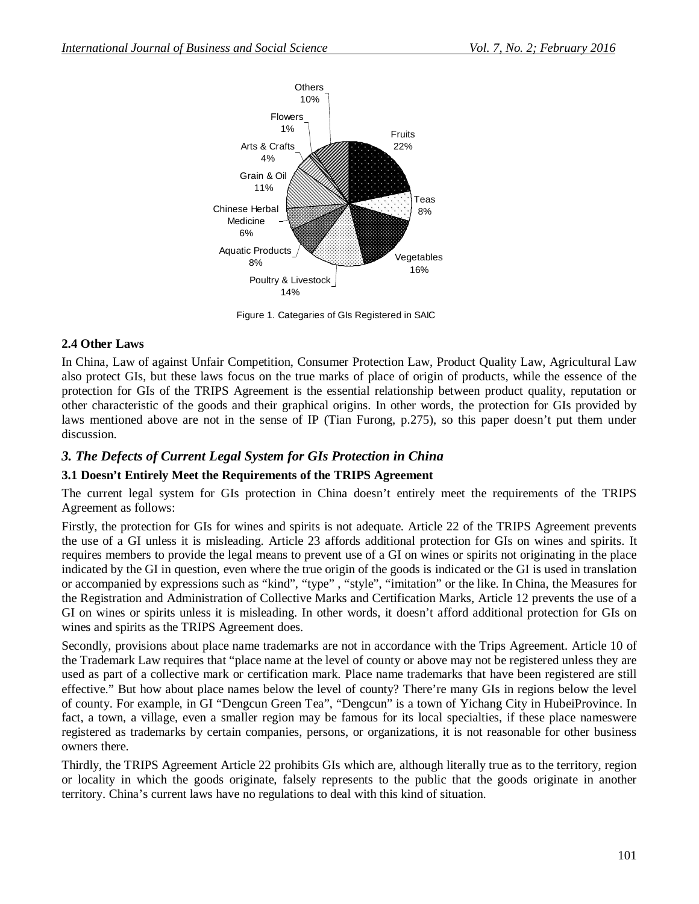

Figure 1. Categaries of GIs Registered in SAIC

#### **2.4 Other Laws**

In China, Law of against Unfair Competition, Consumer Protection Law, Product Quality Law, Agricultural Law also protect GIs, but these laws focus on the true marks of place of origin of products, while the essence of the protection for GIs of the TRIPS Agreement is the essential relationship between product quality, reputation or other characteristic of the goods and their graphical origins. In other words, the protection for GIs provided by laws mentioned above are not in the sense of IP (Tian Furong, p.275), so this paper doesn't put them under discussion.

# *3. The Defects of Current Legal System for GIs Protection in China*

# **3.1 Doesn't Entirely Meet the Requirements of the TRIPS Agreement**

The current legal system for GIs protection in China doesn't entirely meet the requirements of the TRIPS Agreement as follows:

Firstly, the protection for GIs for wines and spirits is not adequate. Article 22 of the TRIPS Agreement prevents the use of a GI unless it is misleading. Article 23 affords additional protection for GIs on wines and spirits. It requires members to provide the legal means to prevent use of a GI on wines or spirits not originating in the place indicated by the GI in question, even where the true origin of the goods is indicated or the GI is used in translation or accompanied by expressions such as "kind", "type" , "style", "imitation" or the like. In China, the Measures for the Registration and Administration of Collective Marks and Certification Marks, Article 12 prevents the use of a GI on wines or spirits unless it is misleading. In other words, it doesn't afford additional protection for GIs on wines and spirits as the TRIPS Agreement does.

Secondly, provisions about place name trademarks are not in accordance with the Trips Agreement. Article 10 of the Trademark Law requires that "place name at the level of county or above may not be registered unless they are used as part of a collective mark or certification mark. Place name trademarks that have been registered are still effective." But how about place names below the level of county? There're many GIs in regions below the level of county. For example, in GI "Dengcun Green Tea", "Dengcun" is a town of Yichang City in HubeiProvince. In fact, a town, a village, even a smaller region may be famous for its local specialties, if these place nameswere registered as trademarks by certain companies, persons, or organizations, it is not reasonable for other business owners there.

Thirdly, the TRIPS Agreement Article 22 prohibits GIs which are, although literally true as to the territory, region or locality in which the goods originate, falsely represents to the public that the goods originate in another territory. China's current laws have no regulations to deal with this kind of situation.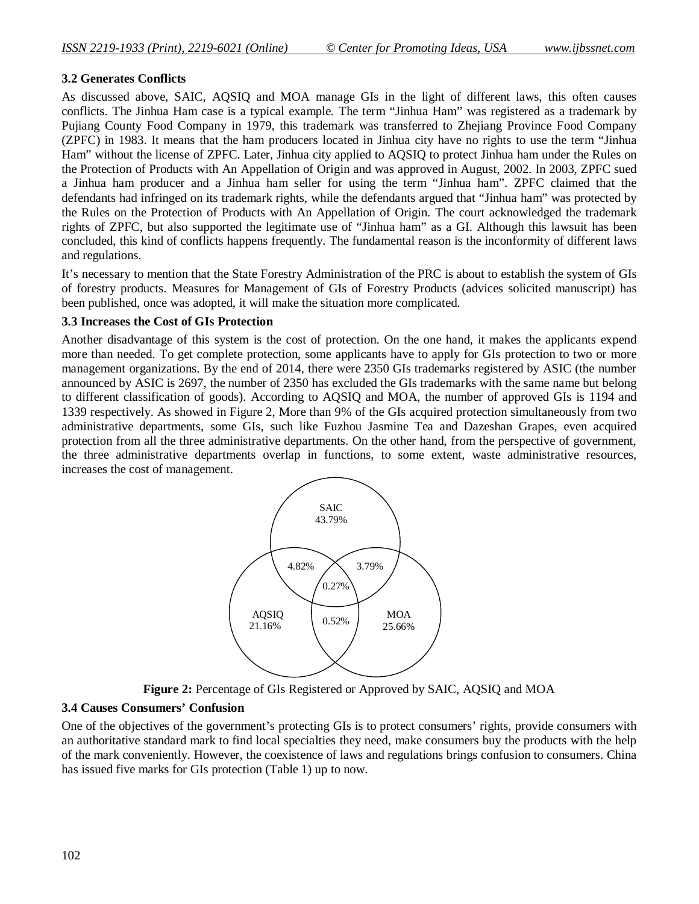# **3.2 Generates Conflicts**

As discussed above, SAIC, AQSIQ and MOA manage GIs in the light of different laws, this often causes conflicts. The Jinhua Ham case is a typical example. The term "Jinhua Ham" was registered as a trademark by Pujiang County Food Company in 1979, this trademark was transferred to Zhejiang Province Food Company (ZPFC) in 1983. It means that the ham producers located in Jinhua city have no rights to use the term "Jinhua Ham" without the license of ZPFC. Later, Jinhua city applied to AQSIQ to protect Jinhua ham under the Rules on the Protection of Products with An Appellation of Origin and was approved in August, 2002. In 2003, ZPFC sued a Jinhua ham producer and a Jinhua ham seller for using the term "Jinhua ham". ZPFC claimed that the defendants had infringed on its trademark rights, while the defendants argued that "Jinhua ham" was protected by the Rules on the Protection of Products with An Appellation of Origin. The court acknowledged the trademark rights of ZPFC, but also supported the legitimate use of "Jinhua ham" as a GI. Although this lawsuit has been concluded, this kind of conflicts happens frequently. The fundamental reason is the inconformity of different laws and regulations.

It's necessary to mention that the State Forestry Administration of the PRC is about to establish the system of GIs of forestry products. Measures for Management of GIs of Forestry Products (advices solicited manuscript) has been published, once was adopted, it will make the situation more complicated.

#### **3.3 Increases the Cost of GIs Protection**

Another disadvantage of this system is the cost of protection. On the one hand, it makes the applicants expend more than needed. To get complete protection, some applicants have to apply for GIs protection to two or more management organizations. By the end of 2014, there were 2350 GIs trademarks registered by ASIC (the number announced by ASIC is 2697, the number of 2350 has excluded the GIs trademarks with the same name but belong to different classification of goods). According to AQSIQ and MOA, the number of approved GIs is 1194 and 1339 respectively. As showed in Figure 2, More than 9% of the GIs acquired protection simultaneously from two administrative departments, some GIs, such like Fuzhou Jasmine Tea and Dazeshan Grapes, even acquired protection from all the three administrative departments. On the other hand, from the perspective of government, the three administrative departments overlap in functions, to some extent, waste administrative resources, increases the cost of management.



**Figure 2:** Percentage of GIs Registered or Approved by SAIC, AQSIQ and MOA

# **3.4 Causes Consumers' Confusion**

One of the objectives of the government's protecting GIs is to protect consumers' rights, provide consumers with an authoritative standard mark to find local specialties they need, make consumers buy the products with the help of the mark conveniently. However, the coexistence of laws and regulations brings confusion to consumers. China has issued five marks for GIs protection (Table 1) up to now.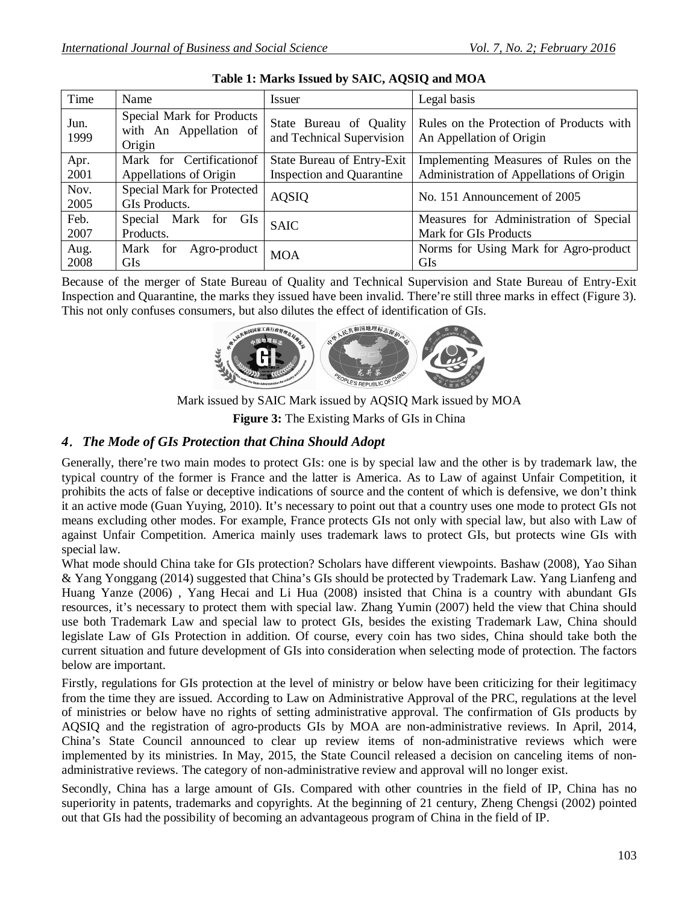| Time         | Name                                                          | <i>Issuer</i>                                        | Legal basis                                                          |
|--------------|---------------------------------------------------------------|------------------------------------------------------|----------------------------------------------------------------------|
| Jun.<br>1999 | Special Mark for Products<br>with An Appellation of<br>Origin | State Bureau of Quality<br>and Technical Supervision | Rules on the Protection of Products with<br>An Appellation of Origin |
| Apr.         | Mark for Certificationof                                      | State Bureau of Entry-Exit                           | Implementing Measures of Rules on the                                |
| 2001         | Appellations of Origin                                        | <b>Inspection and Quarantine</b>                     | Administration of Appellations of Origin                             |
| Nov.         | Special Mark for Protected                                    | <b>AQSIQ</b>                                         | No. 151 Announcement of 2005                                         |
| 2005         | GIs Products.                                                 |                                                      |                                                                      |
| Feb.         | Mark for GIs<br>Special                                       | <b>SAIC</b>                                          | Measures for Administration of Special                               |
| 2007         | Products.                                                     |                                                      | Mark for GIs Products                                                |
| Aug.         | Mark<br>for<br>Agro-product                                   | <b>MOA</b>                                           | Norms for Using Mark for Agro-product                                |
| 2008         | <b>GIs</b>                                                    |                                                      | <b>GIs</b>                                                           |

**Table 1: Marks Issued by SAIC, AQSIQ and MOA**

Because of the merger of State Bureau of Quality and Technical Supervision and State Bureau of Entry-Exit Inspection and Quarantine, the marks they issued have been invalid. There're still three marks in effect (Figure 3). This not only confuses consumers, but also dilutes the effect of identification of GIs.



Mark issued by SAIC Mark issued by AQSIQ Mark issued by MOA

**Figure 3:** The Existing Marks of GIs in China

# *4.The Mode of GIs Protection that China Should Adopt*

Generally, there're two main modes to protect GIs: one is by special law and the other is by trademark law, the typical country of the former is France and the latter is America. As to Law of against Unfair Competition, it prohibits the acts of false or deceptive indications of source and the content of which is defensive, we don't think it an active mode (Guan Yuying, 2010). It's necessary to point out that a country uses one mode to protect GIs not means excluding other modes. For example, France protects GIs not only with special law, but also with Law of against Unfair Competition. America mainly uses trademark laws to protect GIs, but protects wine GIs with special law.

What mode should China take for GIs protection? Scholars have different viewpoints. Bashaw (2008), Yao Sihan & Yang Yonggang (2014) suggested that China's GIs should be protected by Trademark Law. Yang Lianfeng and Huang Yanze (2006) , Yang Hecai and Li Hua (2008) insisted that China is a country with abundant GIs resources, it's necessary to protect them with special law. Zhang Yumin (2007) held the view that China should use both Trademark Law and special law to protect GIs, besides the existing Trademark Law, China should legislate Law of GIs Protection in addition. Of course, every coin has two sides, China should take both the current situation and future development of GIs into consideration when selecting mode of protection. The factors below are important.

Firstly, regulations for GIs protection at the level of ministry or below have been criticizing for their legitimacy from the time they are issued. According to Law on Administrative Approval of the PRC, regulations at the level of ministries or below have no rights of setting administrative approval. The confirmation of GIs products by AQSIQ and the registration of agro-products GIs by MOA are non-administrative reviews. In April, 2014, China's State Council announced to clear up review items of non-administrative reviews which were implemented by its ministries. In May, 2015, the State Council released a decision on canceling items of nonadministrative reviews. The category of non-administrative review and approval will no longer exist.

Secondly, China has a large amount of GIs. Compared with other countries in the field of IP, China has no superiority in patents, trademarks and copyrights. At the beginning of 21 century, Zheng Chengsi (2002) pointed out that GIs had the possibility of becoming an advantageous program of China in the field of IP.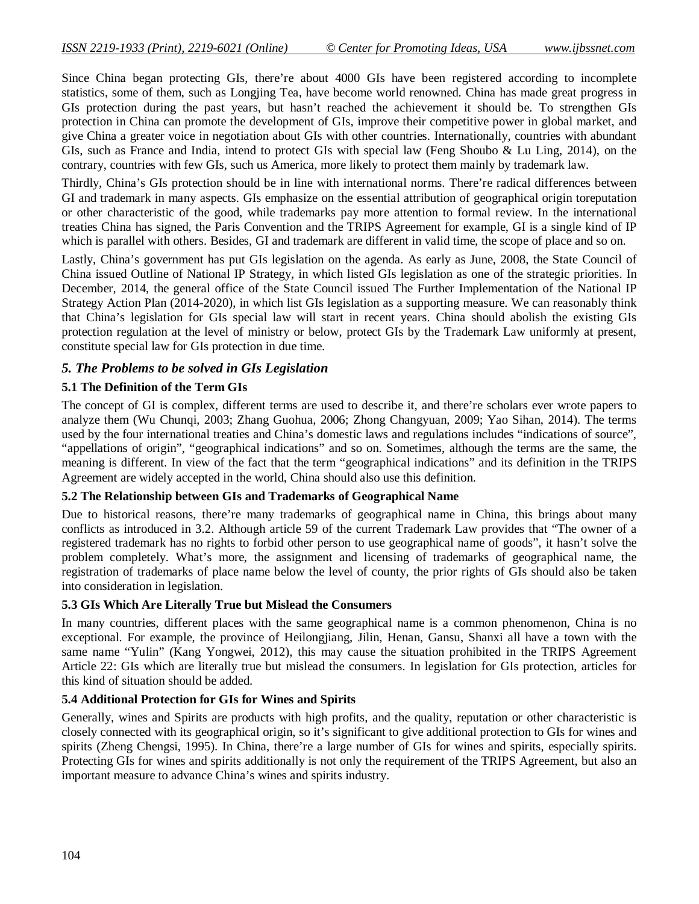Since China began protecting GIs, there're about 4000 GIs have been registered according to incomplete statistics, some of them, such as Longjing Tea, have become world renowned. China has made great progress in GIs protection during the past years, but hasn't reached the achievement it should be. To strengthen GIs protection in China can promote the development of GIs, improve their competitive power in global market, and give China a greater voice in negotiation about GIs with other countries. Internationally, countries with abundant GIs, such as France and India, intend to protect GIs with special law (Feng Shoubo & Lu Ling, 2014), on the contrary, countries with few GIs, such us America, more likely to protect them mainly by trademark law.

Thirdly, China's GIs protection should be in line with international norms. There're radical differences between GI and trademark in many aspects. GIs emphasize on the essential attribution of geographical origin toreputation or other characteristic of the good, while trademarks pay more attention to formal review. In the international treaties China has signed, the Paris Convention and the TRIPS Agreement for example, GI is a single kind of IP which is parallel with others. Besides, GI and trademark are different in valid time, the scope of place and so on.

Lastly, China's government has put GIs legislation on the agenda. As early as June, 2008, the State Council of China issued Outline of National IP Strategy, in which listed GIs legislation as one of the strategic priorities. In December, 2014, the general office of the State Council issued The Further Implementation of the National IP Strategy Action Plan (2014-2020), in which list GIs legislation as a supporting measure. We can reasonably think that China's legislation for GIs special law will start in recent years. China should abolish the existing GIs protection regulation at the level of ministry or below, protect GIs by the Trademark Law uniformly at present, constitute special law for GIs protection in due time.

# *5. The Problems to be solved in GIs Legislation*

# **5.1 The Definition of the Term GIs**

The concept of GI is complex, different terms are used to describe it, and there're scholars ever wrote papers to analyze them (Wu Chunqi, 2003; Zhang Guohua, 2006; Zhong Changyuan, 2009; Yao Sihan, 2014). The terms used by the four international treaties and China's domestic laws and regulations includes "indications of source", "appellations of origin", "geographical indications" and so on. Sometimes, although the terms are the same, the meaning is different. In view of the fact that the term "geographical indications" and its definition in the TRIPS Agreement are widely accepted in the world, China should also use this definition.

# **5.2 The Relationship between GIs and Trademarks of Geographical Name**

Due to historical reasons, there're many trademarks of geographical name in China, this brings about many conflicts as introduced in 3.2. Although article 59 of the current Trademark Law provides that "The owner of a registered trademark has no rights to forbid other person to use geographical name of goods", it hasn't solve the problem completely. What's more, the assignment and licensing of trademarks of geographical name, the registration of trademarks of place name below the level of county, the prior rights of GIs should also be taken into consideration in legislation.

#### **5.3 GIs Which Are Literally True but Mislead the Consumers**

In many countries, different places with the same geographical name is a common phenomenon, China is no exceptional. For example, the province of Heilongjiang, Jilin, Henan, Gansu, Shanxi all have a town with the same name "Yulin" (Kang Yongwei, 2012), this may cause the situation prohibited in the TRIPS Agreement Article 22: GIs which are literally true but mislead the consumers. In legislation for GIs protection, articles for this kind of situation should be added.

#### **5.4 Additional Protection for GIs for Wines and Spirits**

Generally, wines and Spirits are products with high profits, and the quality, reputation or other characteristic is closely connected with its geographical origin, so it's significant to give additional protection to GIs for wines and spirits (Zheng Chengsi, 1995). In China, there're a large number of GIs for wines and spirits, especially spirits. Protecting GIs for wines and spirits additionally is not only the requirement of the TRIPS Agreement, but also an important measure to advance China's wines and spirits industry.